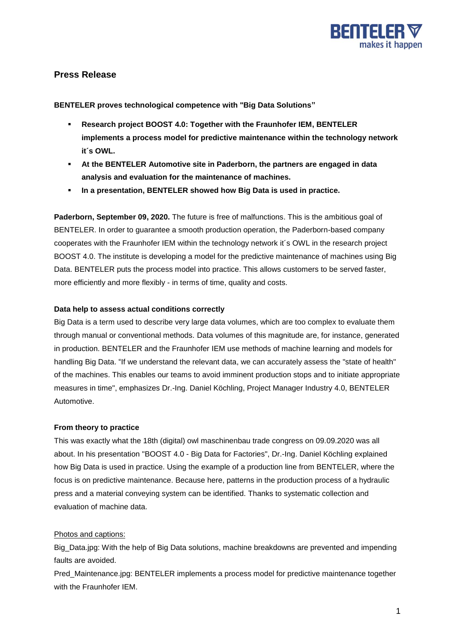

# **Press Release**

**BENTELER proves technological competence with "Big Data Solutions"**

- **Research project BOOST 4.0: Together with the Fraunhofer IEM, BENTELER implements a process model for predictive maintenance within the technology network it´s OWL.**
- **At the BENTELER Automotive site in Paderborn, the partners are engaged in data analysis and evaluation for the maintenance of machines.**
- **In a presentation, BENTELER showed how Big Data is used in practice.**

**Paderborn, September 09, 2020.** The future is free of malfunctions. This is the ambitious goal of BENTELER. In order to guarantee a smooth production operation, the Paderborn-based company cooperates with the Fraunhofer IEM within the technology network it´s OWL in the research project BOOST 4.0. The institute is developing a model for the predictive maintenance of machines using Big Data. BENTELER puts the process model into practice. This allows customers to be served faster, more efficiently and more flexibly - in terms of time, quality and costs.

## **Data help to assess actual conditions correctly**

Big Data is a term used to describe very large data volumes, which are too complex to evaluate them through manual or conventional methods. Data volumes of this magnitude are, for instance, generated in production. BENTELER and the Fraunhofer IEM use methods of machine learning and models for handling Big Data. "If we understand the relevant data, we can accurately assess the "state of health" of the machines. This enables our teams to avoid imminent production stops and to initiate appropriate measures in time", emphasizes Dr.-Ing. Daniel Köchling, Project Manager Industry 4.0, BENTELER Automotive.

## **From theory to practice**

This was exactly what the 18th (digital) owl maschinenbau trade congress on 09.09.2020 was all about. In his presentation "BOOST 4.0 - Big Data for Factories", Dr.-Ing. Daniel Köchling explained how Big Data is used in practice. Using the example of a production line from BENTELER, where the focus is on predictive maintenance. Because here, patterns in the production process of a hydraulic press and a material conveying system can be identified. Thanks to systematic collection and evaluation of machine data.

## Photos and captions:

Big\_Data.jpg: With the help of Big Data solutions, machine breakdowns are prevented and impending faults are avoided.

Pred Maintenance.jpg: BENTELER implements a process model for predictive maintenance together with the Fraunhofer IEM.